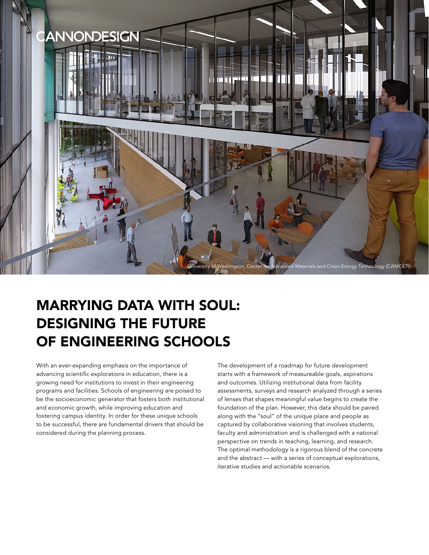

# MARRYING DATA WITH SOUL: DESIGNING THE FUTURE OF ENGINEERING SCHOOLS

With an ever-expanding emphasis on the importance of advancing scientific explorations in education, there is a growing need for institutions to invest in their engineering programs and facilities. Schools of engineering are poised to be the socioeconomic generator that fosters both institutional and economic growth, while improving education and fostering campus identity. In order for these unique schools to be successful, there are fundamental drivers that should be considered during the planning process.

The development of a roadmap for future development starts with a framework of measureable goals, aspirations and outcomes. Utilizing institutional data from facility assessments, surveys and research analyzed through a series of lenses that shapes meaningful value begins to create the foundation of the plan. However, this data should be paired along with the "soul" of the unique place and people as captured by collaborative visioning that involves students, faculty and administration and is challenged with a national perspective on trends in teaching, learning, and research. The optimal methodology is a rigorous blend of the concrete and the abstract — with a series of conceptual explorations, iterative studies and actionable scenarios.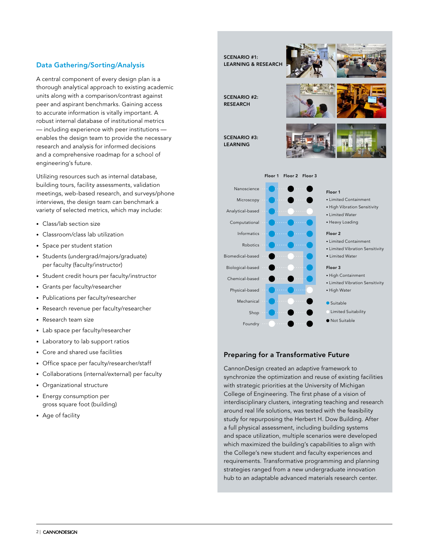# Data Gathering/Sorting/Analysis

A central component of every design plan is a thorough analytical approach to existing academic units along with a comparison/contrast against peer and aspirant benchmarks. Gaining access to accurate information is vitally important. A robust internal database of institutional metrics — including experience with peer institutions enables the design team to provide the necessary research and analysis for informed decisions and a comprehensive roadmap for a school of engineering's future.

Utilizing resources such as internal database, building tours, facility assessments, validation meetings, web-based research, and surveys/phone interviews, the design team can benchmark a variety of selected metrics, which may include:

- Class/lab section size
- Classroom/class lab utilization
- Space per student station
- Students (undergrad/majors/graduate) per faculty (faculty/instructor)
- Student credit hours per faculty/instructor
- Grants per faculty/researcher
- Publications per faculty/researcher
- Research revenue per faculty/researcher
- Research team size
- Lab space per faculty/researcher
- Laboratory to lab support ratios
- Core and shared use facilities
- Office space per faculty/researcher/staff
- Collaborations (internal/external) per faculty
- Organizational structure
- Energy consumption per gross square foot (building)
- Age of facility



#### Preparing for a Transformative Future

CannonDesign created an adaptive framework to synchronize the optimization and reuse of existing facilities with strategic priorities at the University of Michigan College of Engineering. The first phase of a vision of interdisciplinary clusters, integrating teaching and research around real life solutions, was tested with the feasibility study for repurposing the Herbert H. Dow Building. After a full physical assessment, including building systems and space utilization, multiple scenarios were developed which maximized the building's capabilities to align with the College's new student and faculty experiences and requirements. Transformative programming and planning strategies ranged from a new undergraduate innovation hub to an adaptable advanced materials research center.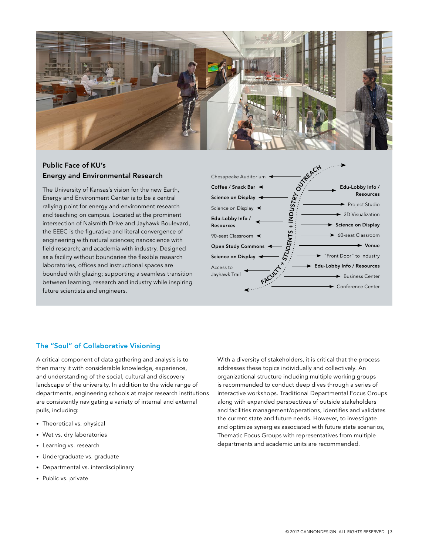

# Public Face of KU's Energy and Environmental Research

The University of Kansas's vision for the new Earth, Energy and Environment Center is to be a central rallying point for energy and environment research and teaching on campus. Located at the prominent intersection of Naismith Drive and Jayhawk Boulevard, the EEEC is the figurative and literal convergence of engineering with natural sciences; nanoscience with field research; and academia with industry. Designed as a facility without boundaries the flexible research laboratories, offices and instructional spaces are bounded with glazing; supporting a seamless transition between learning, research and industry while inspiring future scientists and engineers.



### The "Soul" of Collaborative Visioning

A critical component of data gathering and analysis is to then marry it with considerable knowledge, experience, and understanding of the social, cultural and discovery landscape of the university. In addition to the wide range of departments, engineering schools at major research institutions are consistently navigating a variety of internal and external pulls, including:

- Theoretical vs. physical
- Wet vs. dry laboratories
- Learning vs. research
- Undergraduate vs. graduate
- Departmental vs. interdisciplinary
- Public vs. private

With a diversity of stakeholders, it is critical that the process addresses these topics individually and collectively. An organizational structure including multiple working groups is recommended to conduct deep dives through a series of interactive workshops. Traditional Departmental Focus Groups along with expanded perspectives of outside stakeholders and facilities management/operations, identifies and validates the current state and future needs. However, to investigate and optimize synergies associated with future state scenarios, Thematic Focus Groups with representatives from multiple departments and academic units are recommended.